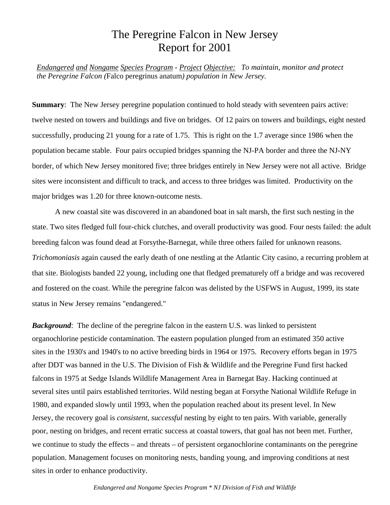## The Peregrine Falcon in New Jersey Report for 2001

*Endangered and Nongame Species Program - Project Objective: To maintain, monitor and protect the Peregrine Falcon (*Falco peregrinus anatum*) population in New Jersey.*

**Summary:** The New Jersey peregrine population continued to hold steady with seventeen pairs active: twelve nested on towers and buildings and five on bridges. Of 12 pairs on towers and buildings, eight nested successfully, producing 21 young for a rate of 1.75. This is right on the 1.7 average since 1986 when the population became stable. Four pairs occupied bridges spanning the NJ-PA border and three the NJ-NY border, of which New Jersey monitored five; three bridges entirely in New Jersey were not all active. Bridge sites were inconsistent and difficult to track, and access to three bridges was limited. Productivity on the major bridges was 1.20 for three known-outcome nests.

A new coastal site was discovered in an abandoned boat in salt marsh, the first such nesting in the state. Two sites fledged full four-chick clutches, and overall productivity was good. Four nests failed: the adult breeding falcon was found dead at Forsythe-Barnegat, while three others failed for unknown reasons. *Trichomoniasis* again caused the early death of one nestling at the Atlantic City casino, a recurring problem at that site. Biologists banded 22 young, including one that fledged prematurely off a bridge and was recovered and fostered on the coast. While the peregrine falcon was delisted by the USFWS in August, 1999, its state status in New Jersey remains "endangered."

**Background:** The decline of the peregrine falcon in the eastern U.S. was linked to persistent organochlorine pesticide contamination. The eastern population plunged from an estimated 350 active sites in the 1930's and 1940's to no active breeding birds in 1964 or 1975. Recovery efforts began in 1975 after DDT was banned in the U.S. The Division of Fish & Wildlife and the Peregrine Fund first hacked falcons in 1975 at Sedge Islands Wildlife Management Area in Barnegat Bay. Hacking continued at several sites until pairs established territories. Wild nesting began at Forsythe National Wildlife Refuge in 1980, and expanded slowly until 1993, when the population reached about its present level. In New Jersey, the recovery goal is *consistent*, *successful* nesting by eight to ten pairs. With variable, generally poor, nesting on bridges, and recent erratic success at coastal towers, that goal has not been met. Further, we continue to study the effects – and threats – of persistent organochlorine contaminants on the peregrine population. Management focuses on monitoring nests, banding young, and improving conditions at nest sites in order to enhance productivity.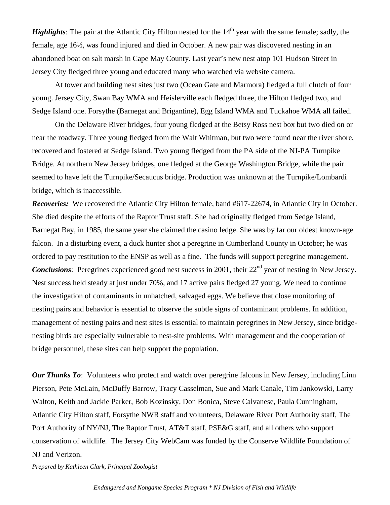*Highlights*: The pair at the Atlantic City Hilton nested for the 14<sup>th</sup> year with the same female; sadly, the female, age 16½, was found injured and died in October. A new pair was discovered nesting in an abandoned boat on salt marsh in Cape May County. Last year's new nest atop 101 Hudson Street in Jersey City fledged three young and educated many who watched via website camera.

At tower and building nest sites just two (Ocean Gate and Marmora) fledged a full clutch of four young. Jersey City, Swan Bay WMA and Heislerville each fledged three, the Hilton fledged two, and Sedge Island one. Forsythe (Barnegat and Brigantine), Egg Island WMA and Tuckahoe WMA all failed.

On the Delaware River bridges, four young fledged at the Betsy Ross nest box but two died on or near the roadway. Three young fledged from the Walt Whitman, but two were found near the river shore, recovered and fostered at Sedge Island. Two young fledged from the PA side of the NJ-PA Turnpike Bridge. At northern New Jersey bridges, one fledged at the George Washington Bridge, while the pair seemed to have left the Turnpike/Secaucus bridge. Production was unknown at the Turnpike/Lombardi bridge, which is inaccessible.

*Recoveries:* We recovered the Atlantic City Hilton female, band #617-22674, in Atlantic City in October. She died despite the efforts of the Raptor Trust staff. She had originally fledged from Sedge Island, Barnegat Bay, in 1985, the same year she claimed the casino ledge. She was by far our oldest known-age falcon. In a disturbing event, a duck hunter shot a peregrine in Cumberland County in October; he was ordered to pay restitution to the ENSP as well as a fine. The funds will support peregrine management. *Conclusions*: Peregrines experienced good nest success in 2001, their 22<sup>nd</sup> year of nesting in New Jersey. Nest success held steady at just under 70%, and 17 active pairs fledged 27 young. We need to continue the investigation of contaminants in unhatched, salvaged eggs. We believe that close monitoring of nesting pairs and behavior is essential to observe the subtle signs of contaminant problems. In addition, management of nesting pairs and nest sites is essential to maintain peregrines in New Jersey, since bridgenesting birds are especially vulnerable to nest-site problems. With management and the cooperation of bridge personnel, these sites can help support the population.

*Our Thanks To*: Volunteers who protect and watch over peregrine falcons in New Jersey, including Linn Pierson, Pete McLain, McDuffy Barrow, Tracy Casselman, Sue and Mark Canale, Tim Jankowski, Larry Walton, Keith and Jackie Parker, Bob Kozinsky, Don Bonica, Steve Calvanese, Paula Cunningham, Atlantic City Hilton staff, Forsythe NWR staff and volunteers, Delaware River Port Authority staff, The Port Authority of NY/NJ, The Raptor Trust, AT&T staff, PSE&G staff, and all others who support conservation of wildlife. The Jersey City WebCam was funded by the Conserve Wildlife Foundation of NJ and Verizon.

*Prepared by Kathleen Clark, Principal Zoologist*